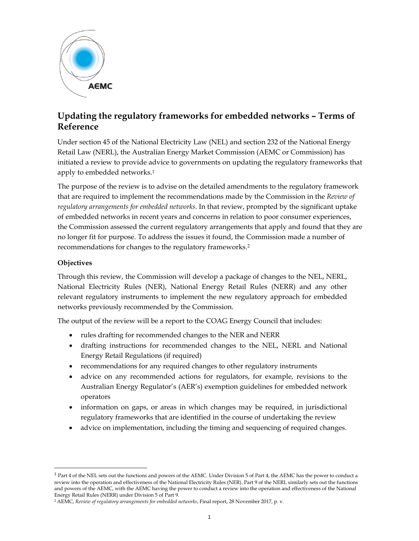

# **Updating the regulatory frameworks for embedded networks – Terms of Reference**

Under section 45 of the National Electricity Law (NEL) and section 232 of the National Energy Retail Law (NERL), the Australian Energy Market Commission (AEMC or Commission) has initiated a review to provide advice to governments on updating the regulatory frameworks that apply to embedded networks.1

The purpose of the review is to advise on the detailed amendments to the regulatory framework that are required to implement the recommendations made by the Commission in the *Review of regulatory arrangements for embedded networks*. In that review, prompted by the significant uptake of embedded networks in recent years and concerns in relation to poor consumer experiences, the Commission assessed the current regulatory arrangements that apply and found that they are no longer fit for purpose. To address the issues it found, the Commission made a number of recommendations for changes to the regulatory frameworks.2

## **Objectives**

l

Through this review, the Commission will develop a package of changes to the NEL, NERL, National Electricity Rules (NER), National Energy Retail Rules (NERR) and any other relevant regulatory instruments to implement the new regulatory approach for embedded networks previously recommended by the Commission.

The output of the review will be a report to the COAG Energy Council that includes:

- rules drafting for recommended changes to the NER and NERR
- drafting instructions for recommended changes to the NEL, NERL and National Energy Retail Regulations (if required)
- recommendations for any required changes to other regulatory instruments
- advice on any recommended actions for regulators, for example, revisions to the Australian Energy Regulator's (AER's) exemption guidelines for embedded network operators
- information on gaps, or areas in which changes may be required, in jurisdictional regulatory frameworks that are identified in the course of undertaking the review
- advice on implementation, including the timing and sequencing of required changes.

<sup>1</sup> Part 4 of the NEL sets out the functions and powers of the AEMC. Under Division 5 of Part 4, the AEMC has the power to conduct a review into the operation and effectiveness of the National Electricity Rules (NER). Part 9 of the NERL similarly sets out the functions and powers of the AEMC, with the AEMC having the power to conduct a review into the operation and effectiveness of the National Energy Retail Rules (NERR) under Division 5 of Part 9.

<sup>2</sup> AEMC, *Review of regulatory arrangements for embedded networks*, Final report, 28 November 2017, p. v.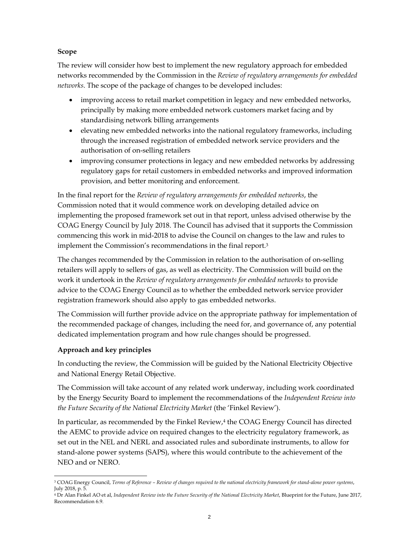### **Scope**

The review will consider how best to implement the new regulatory approach for embedded networks recommended by the Commission in the *Review of regulatory arrangements for embedded networks*. The scope of the package of changes to be developed includes:

- improving access to retail market competition in legacy and new embedded networks, principally by making more embedded network customers market facing and by standardising network billing arrangements
- elevating new embedded networks into the national regulatory frameworks, including through the increased registration of embedded network service providers and the authorisation of on-selling retailers
- improving consumer protections in legacy and new embedded networks by addressing regulatory gaps for retail customers in embedded networks and improved information provision, and better monitoring and enforcement.

In the final report for the *Review of regulatory arrangements for embedded networks*, the Commission noted that it would commence work on developing detailed advice on implementing the proposed framework set out in that report, unless advised otherwise by the COAG Energy Council by July 2018. The Council has advised that it supports the Commission commencing this work in mid-2018 to advise the Council on changes to the law and rules to implement the Commission's recommendations in the final report.3

The changes recommended by the Commission in relation to the authorisation of on-selling retailers will apply to sellers of gas, as well as electricity. The Commission will build on the work it undertook in the *Review of regulatory arrangements for embedded networks* to provide advice to the COAG Energy Council as to whether the embedded network service provider registration framework should also apply to gas embedded networks.

The Commission will further provide advice on the appropriate pathway for implementation of the recommended package of changes, including the need for, and governance of, any potential dedicated implementation program and how rule changes should be progressed.

## **Approach and key principles**

In conducting the review, the Commission will be guided by the National Electricity Objective and National Energy Retail Objective.

The Commission will take account of any related work underway, including work coordinated by the Energy Security Board to implement the recommendations of the *Independent Review into the Future Security of the National Electricity Market* (the 'Finkel Review').

In particular, as recommended by the Finkel Review,<sup>4</sup> the COAG Energy Council has directed the AEMC to provide advice on required changes to the electricity regulatory framework, as set out in the NEL and NERL and associated rules and subordinate instruments, to allow for stand-alone power systems (SAPS), where this would contribute to the achievement of the NEO and or NERO.

l 3 COAG Energy Council, *Terms of Reference – Review of changes required to the national electricity framework for stand-alone power systems*, July 2018, p. 5.

<sup>4</sup> Dr Alan Finkel AO et al, *Independent Review into the Future Security of the National Electricity Market*, Blueprint for the Future, June 2017, Recommendation 6.9.